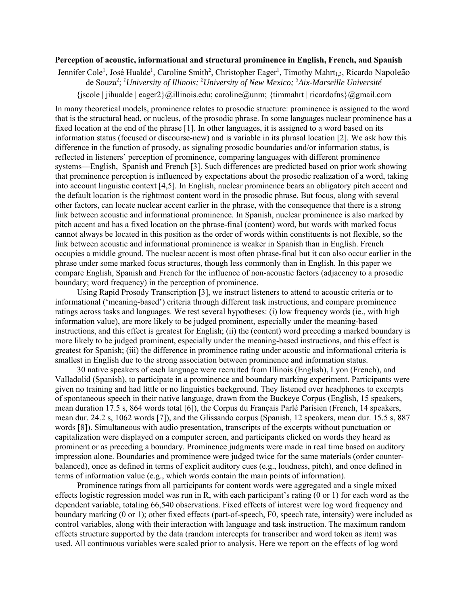## **Perception of acoustic, informational and structural prominence in English, French, and Spanish**

Jennifer Cole<sup>1</sup>, José Hualde<sup>1</sup>, Caroline Smith<sup>2</sup>, Christopher Eager<sup>1</sup>, Timothy Mahrt<sub>1,3</sub>, Ricardo Napoleão de Souza2 ; *1 University of Illinois; 2 University of New Mexico; 3 Aix-Marseille Université*   ${\{iscole | \emptyset\}}$  =  ${\{algebra \}}$  =  ${\{allinois.edu\}}$ ; caroline  $@$ unm;  ${\{timmahrt | \}$  ricardofns ${\{algsmail.com\}}$ 

In many theoretical models, prominence relates to prosodic structure: prominence is assigned to the word that is the structural head, or nucleus, of the prosodic phrase. In some languages nuclear prominence has a fixed location at the end of the phrase [1]. In other languages, it is assigned to a word based on its information status (focused or discourse-new) and is variable in its phrasal location [2]. We ask how this difference in the function of prosody, as signaling prosodic boundaries and/or information status, is reflected in listeners' perception of prominence, comparing languages with different prominence systems—English, Spanish and French [3]. Such differences are predicted based on prior work showing that prominence perception is influenced by expectations about the prosodic realization of a word, taking into account linguistic context [4,5]. In English, nuclear prominence bears an obligatory pitch accent and the default location is the rightmost content word in the prosodic phrase. But focus, along with several other factors, can locate nuclear accent earlier in the phrase, with the consequence that there is a strong link between acoustic and informational prominence. In Spanish, nuclear prominence is also marked by pitch accent and has a fixed location on the phrase-final (content) word, but words with marked focus cannot always be located in this position as the order of words within constituents is not flexible, so the link between acoustic and informational prominence is weaker in Spanish than in English. French occupies a middle ground. The nuclear accent is most often phrase-final but it can also occur earlier in the phrase under some marked focus structures, though less commonly than in English. In this paper we compare English, Spanish and French for the influence of non-acoustic factors (adjacency to a prosodic boundary; word frequency) in the perception of prominence.

Using Rapid Prosody Transcription [3], we instruct listeners to attend to acoustic criteria or to informational ('meaning-based') criteria through different task instructions, and compare prominence ratings across tasks and languages. We test several hypotheses: (i) low frequency words (ie., with high information value), are more likely to be judged prominent, especially under the meaning-based instructions, and this effect is greatest for English; (ii) the (content) word preceding a marked boundary is more likely to be judged prominent, especially under the meaning-based instructions, and this effect is greatest for Spanish; (iii) the difference in prominence rating under acoustic and informational criteria is smallest in English due to the strong association between prominence and information status.

30 native speakers of each language were recruited from Illinois (English), Lyon (French), and Valladolid (Spanish), to participate in a prominence and boundary marking experiment. Participants were given no training and had little or no linguistics background. They listened over headphones to excerpts of spontaneous speech in their native language, drawn from the Buckeye Corpus (English, 15 speakers, mean duration 17.5 s, 864 words total [6]), the Corpus du Français Parlé Parisien (French, 14 speakers, mean dur. 24.2 s, 1062 words [7]), and the Glissando corpus (Spanish, 12 speakers, mean dur. 15.5 s, 887 words [8]). Simultaneous with audio presentation, transcripts of the excerpts without punctuation or capitalization were displayed on a computer screen, and participants clicked on words they heard as prominent or as preceding a boundary. Prominence judgments were made in real time based on auditory impression alone. Boundaries and prominence were judged twice for the same materials (order counterbalanced), once as defined in terms of explicit auditory cues (e.g., loudness, pitch), and once defined in terms of information value (e.g., which words contain the main points of information).

Prominence ratings from all participants for content words were aggregated and a single mixed effects logistic regression model was run in R, with each participant's rating (0 or 1) for each word as the dependent variable, totaling 66,540 observations. Fixed effects of interest were log word frequency and boundary marking (0 or 1); other fixed effects (part-of-speech, F0, speech rate, intensity) were included as control variables, along with their interaction with language and task instruction. The maximum random effects structure supported by the data (random intercepts for transcriber and word token as item) was used. All continuous variables were scaled prior to analysis. Here we report on the effects of log word